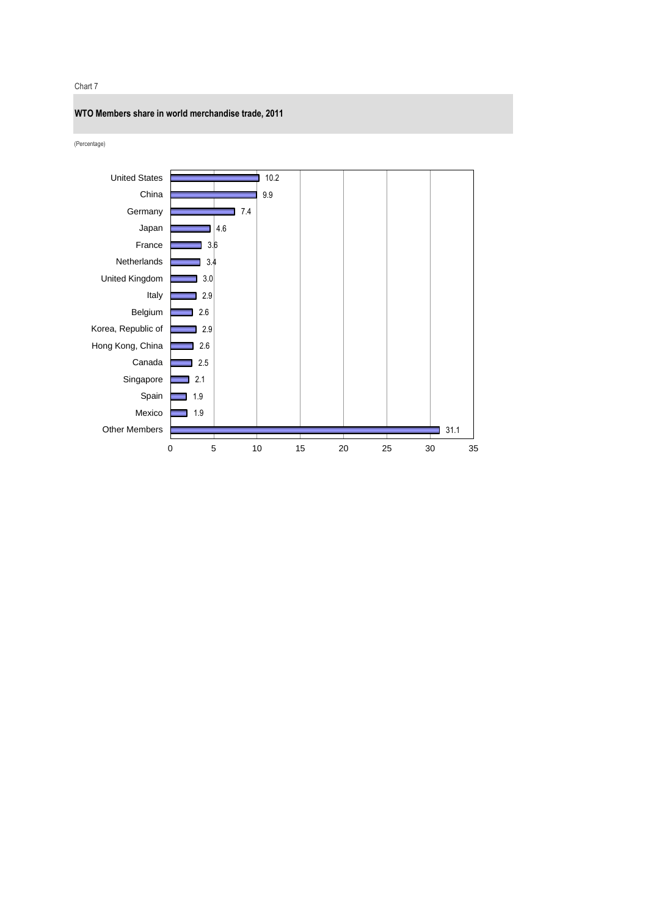#### Chart 7



(Percentage)

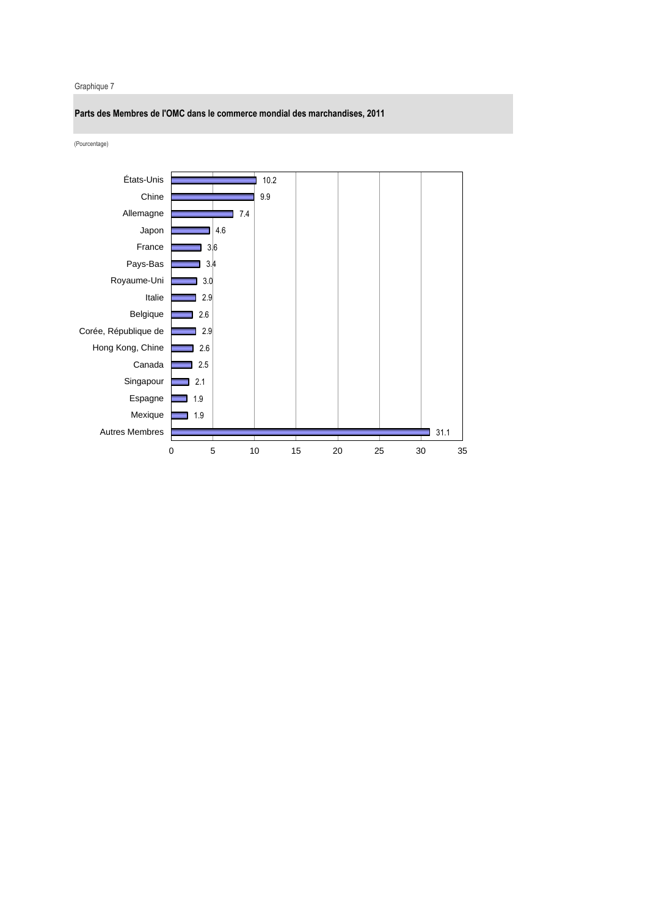### Graphique 7

**Parts des Membres de l'OMC dans le commerce mondial des marchandises, 2011**

(Pourcentage)

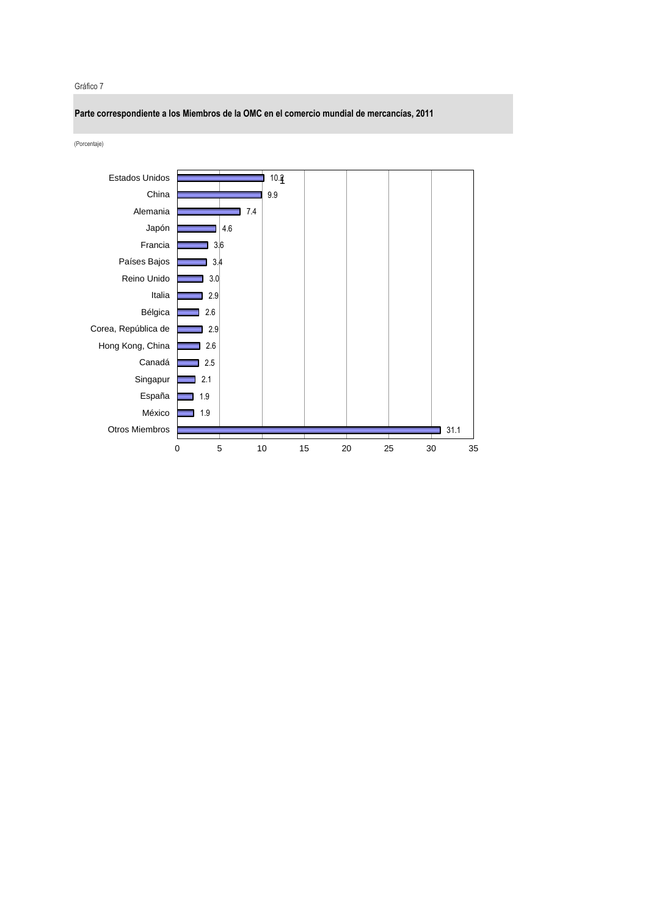#### Gráfico 7